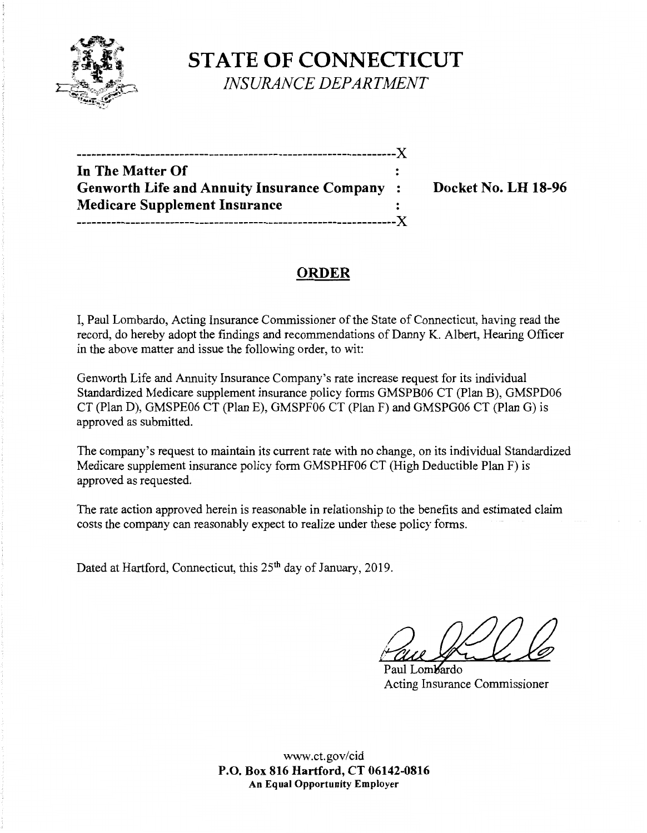

**STATE OF CONNECTICUT** *INSURANCE DEPARTMENT* 

| In The Matter Of                             |   |
|----------------------------------------------|---|
| Genworth Life and Annuity Insurance Company: |   |
| <b>Medicare Supplement Insurance</b>         |   |
|                                              | X |
|                                              |   |

**Docket No. LH 18-96** 

# **ORDER**

I, Paul Lombardo, Acting Insurance Commissioner of the State of Connecticut, having read the record, do hereby adopt the findings and recommendations of Danny K. Albert, Hearing Officer in the above matter and issue the following order, to wit:

Genworth Life and Annuity Insurance Company's rate increase request for its individual Standardized Medicare supplement insurance policy forms GMSPB06 CT (Plan B), GMSPD06 CT (Plan D), GMSPE06 CT (Plan E), GMSPF06 CT (Plan F) and GMSPG06 CT (Plan G) is approved as submitted.

The company's request to maintain its current rate with no change, on its individual Standardized Medicare supplement insurance policy form GMSPHF06 CT (High Deductible Plan F) is approved as requested.

The rate action approved herein is reasonable in relationship to the benefits and estimated claim costs the company can reasonably expect to realize under these policy forms.

Dated at Hartford, Connecticut, this 25<sup>th</sup> day of January, 2019.

Faul Gallery Commissioner

Acting Insurance Commissioner

www.ct.gov/cid **P.O. Box 816 Hartford, CT 06142-0816 An Equal Opportunity Employer**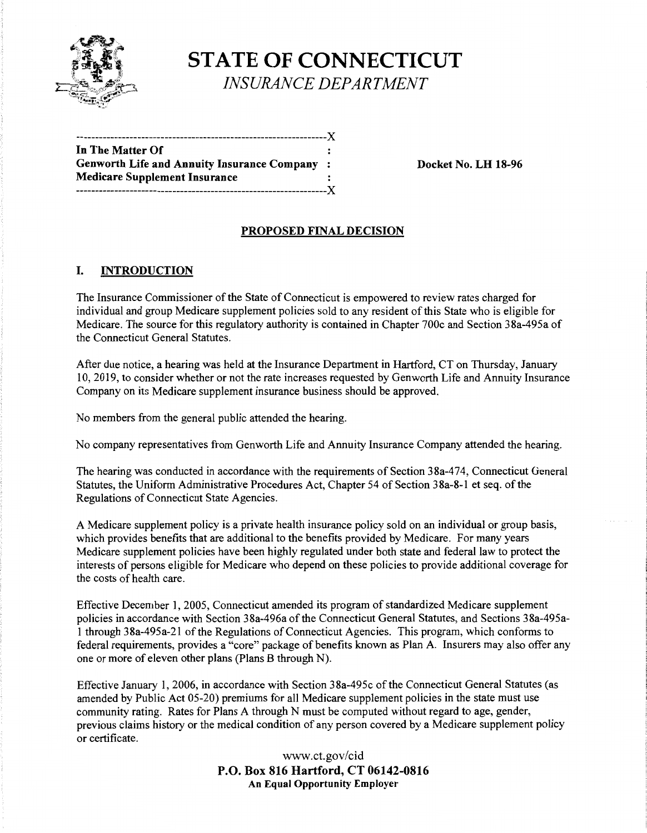

# **STATE OF CONNECTICUT**  *INSURANCE DEPARTMENT*

| In The Matter Of                             |  |
|----------------------------------------------|--|
| Genworth Life and Annuity Insurance Company: |  |
| <b>Medicare Supplement Insurance</b>         |  |
|                                              |  |
|                                              |  |

**Docket No. LH 18-96** 

## **PROPOSED FINAL DECISION**

### I. **INTRODUCTION**

The Insurance Commissioner of the State of Connecticut is empowered to review rates charged for individual and group Medicare supplement policies sold to any resident of this State who is eligible for Medicare. The source for this regulatory authority is contained in Chapter 700c and Section 3 8a-495a of the Connecticut General Statutes.

After due notice, a hearing was held at the Insurance Department in Hartford, CT on Thursday, January 10, 2019, to consider whether or not the rate increases requested by Genworth Life and Annuity Insurance Company on its Medicare supplement insurance business should be approved.

No members from the general public attended the hearing.

No company representatives from Genworth Life and Annuity Insurance Company attended the hearing.

The hearing was conducted in accordance with the requirements of Section 38a-474, Connecticut General Statutes, the Uniform Administrative Procedures Act, Chapter 54 of Section 38a-8-1 et seq. of the Regulations of Connecticut State Agencies.

A Medicare supplement policy is a private health insurance policy sold on an individual or group basis, which provides benefits that are additional to the benefits provided by Medicare. For many years Medicare supplement policies have been highly regulated under both state and federal law to protect the interests of persons eligible for Medicare who depend on these policies to provide additional coverage for the costs of health care.

Effective December 1, 2005, Connecticut amended its program of standardized Medicare supplement policies in accordance with Section 38a-496a of the Connecticut General Statutes, and Sections 38a-495a-1 through 38a-495a-21 of the Regulations of Connecticut Agencies. This program, which conforms to federal requirements, provides a "core" package of benefits known as Plan A. Insurers may also offer any one or more of eleven other plans (Plans B through N).

Effective January 1, 2006, in accordance with Section 38a-495c of the Connecticut General Statutes (as amended by Public Act 05-20) premiums for all Medicare supplement policies in the state must use community rating. Rates for Plans A through N must be computed without regard to age, gender, previous claims history or the medical condition of any person covered by a Medicare supplement policy or certificate.

> www.ct.gov/cid **P.O. Box 816 Hartford, CT 06142-0816 An Equal Opportunity Employer**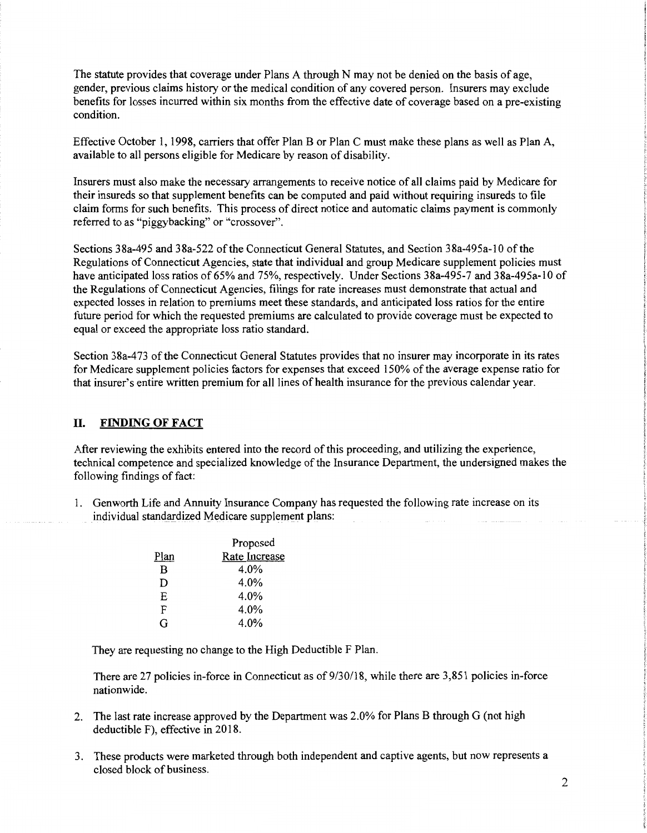The statute provides that coverage under Plans A through N may not be denied on the basis of age, gender, previous claims history or the medical condition of any covered person. Insurers may exclude benefits for losses incurred within six months from the effective date of coverage based on a pre-existing condition.

Effective October 1, 1998, carriers that offer Plan B or Plan C must make these plans as well as Plan A, available to all persons eligible for Medicare by reason of disability.

Insurers must also make the necessary arrangements to receive notice of all claims paid by Medicare for their insureds so that supplement benefits can be computed and paid without requiring insureds to file claim forms for such benefits. This process of direct notice and automatic claims payment is commonly referred to as "piggybacking" or "crossover".

Sections 38a-495 and 38a-522 of the Connecticut General Statutes, and Section 38a-495a-10 of the Regulations of Connecticut Agencies, state that individual and group Medicare supplement policies must have anticipated loss ratios of 65% and 75%, respectively. Under Sections 38a-495-7 and 38a-495a-10 of the Regulations of Connecticut Agencies, filings for rate increases must demonstrate that actual and expected losses in relation to premiums meet these standards, and anticipated loss ratios for the entire future period for which the requested premiums are calculated to provide coverage must be expected to equal or exceed the appropriate loss ratio standard.

Section 38a-473 of the Connecticut General Statutes provides that no insurer may incorporate in its rates for Medicare supplement policies factors for expenses that exceed 150% of the average expense ratio for that insurer's entire written premium for all lines of health insurance for the previous calendar year.

#### II. **FINDING OF FACT**

After reviewing the exhibits entered into the record of this proceeding, and utilizing the experience, technical competence and specialized knowledge of the Insurance Department, the undersigned makes the following findings of fact:

1. Genworth Life and Annuity Insurance Company has requested the following rate increase on its individual standardized Medicare supplement plans:

|      | Proposed      |
|------|---------------|
| Plan | Rate Increase |
| B    | 4.0%          |
| D    | 4.0%          |
| F.   | 4.0%          |
| F    | 4.0%          |
| G    | 4.0%          |
|      |               |

They are requesting no change to the High Deductible F Plan.

There are 27 policies in-force in Connecticut as of 9/30/18, while there are 3,851 policies in-force nationwide.

- 2. The last rate increase approved by the Department was 2.0% for Plans B through G (not high deductible F), effective in 2018.
- 3. These products were marketed through both independent and captive agents, but now represents a closed block of business.